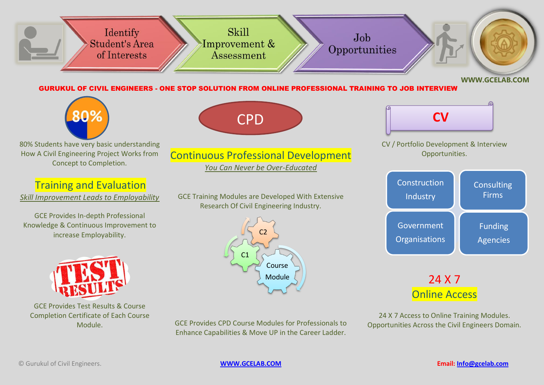